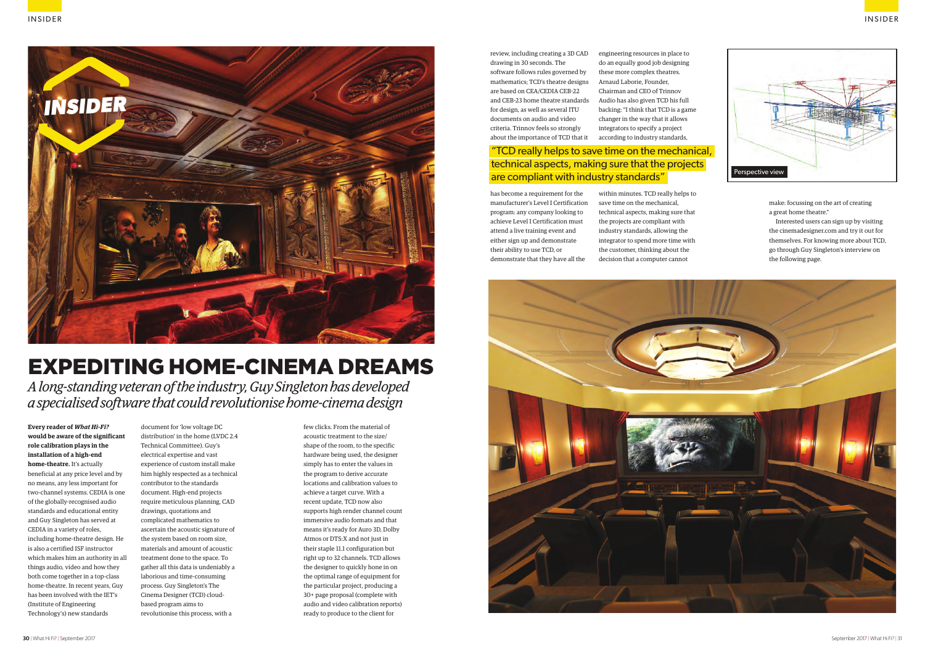**Every reader of** *What Hi-Fi?* **would be aware of the significant role calibration plays in the installation of a high-end home-theatre.** It's actually beneficial at any price level and by no means, any less important for two-channel systems. CEDIA is one of the globally-recognised audio standards and educational entity and Guy Singleton has served at CEDIA in a variety of roles, including home-theatre design. He is also a certified ISF instructor which makes him an authority in all things audio, video and how they both come together in a top-class home-theatre. In recent years, Guy has been involved with the IET's (Institute of Engineering Technology's) new standards

document for 'low voltage DC distribution' in the home (LVDC 2.4 Technical Committee). Guy's electrical expertise and vast experience of custom install make him highly respected as a technical contributor to the standards document. High-end projects require meticulous planning, CAD drawings, quotations and complicated mathematics to ascertain the acoustic signature of the system based on room size, materials and amount of acoustic treatment done to the space. To gather all this data is undeniably a laborious and time-consuming process. Guy Singleton's The Cinema Designer (TCD) cloudbased program aims to revolutionise this process, with a

*A long-standing veteran of the industry, Guy Singleton has developed a specialised software that could revolutionise home-cinema design*

## EXPEDITING HOME-CINEMA DREAMS

few clicks. From the material of acoustic treatment to the size/ shape of the room, to the specific hardware being used, the designer simply has to enter the values in the program to derive accurate locations and calibration values to achieve a target curve. With a recent update, TCD now also supports high render channel count immersive audio formats and that means it's ready for Auro 3D, Dolby Atmos or DTS:X and not just in their staple 11.1 configuration but right up to 32 channels. TCD allows the designer to quickly hone in on the optimal range of equipment for the particular project, producing a 30+ page proposal (complete with audio and video calibration reports) ready to produce to the client for



### "TCD really helps to save time on the mechanical, technical aspects, making sure that the projects are compliant with industry standards"

review, including creating a 3D CAD drawing in 30 seconds. The software follows rules governed by mathematics; TCD's theatre designs are based on CEA/CEDIA CEB-22 and CEB-23 home theatre standards for design, as well as several ITU documents on audio and video criteria. Trinnov feels so strongly about the importance of TCD that it

has become a requirement for the manufacturer's Level I Certification program: any company looking to achieve Level I Certification must attend a live training event and either sign up and demonstrate their ability to use TCD, or demonstrate that they have all the

engineering resources in place to do an equally good job designing these more complex theatres. Arnaud Laborie, Founder, Chairman and CEO of Trinnov Audio has also given TCD his full backing: "I think that TCD is a game changer in the way that it allows integrators to specify a project according to industry standards,

within minutes. TCD really helps to save time on the mechanical, technical aspects, making sure that the projects are compliant with industry standards, allowing the integrator to spend more time with the customer, thinking about the decision that a computer cannot



make: focussing on the art of creating a great home theatre."

Interested users can sign up by visiting the cinemadesigner.com and try it out for themselves. For knowing more about TCD, go through Guy Singleton's interview on the following page.